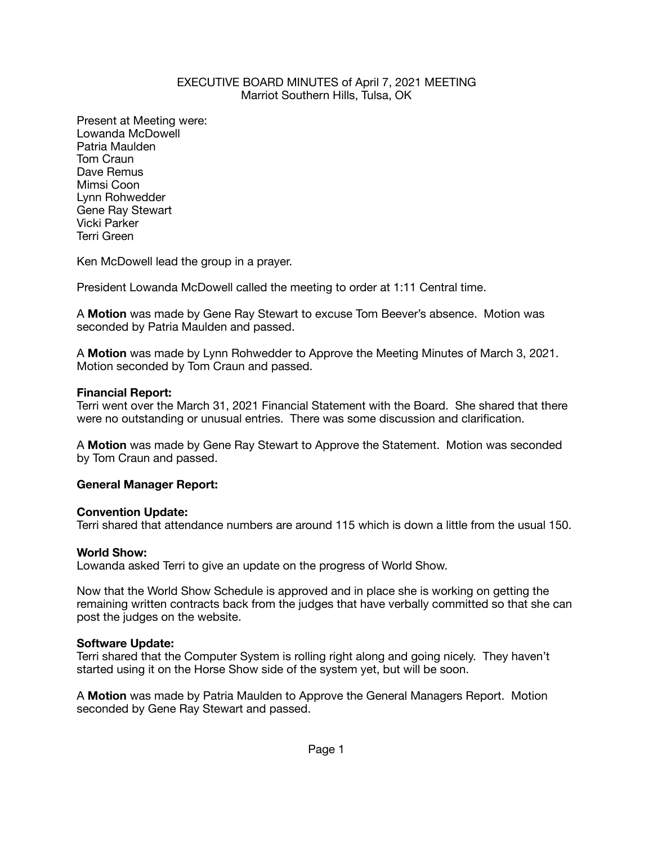### EXECUTIVE BOARD MINUTES of April 7, 2021 MEETING Marriot Southern Hills, Tulsa, OK

Present at Meeting were: Lowanda McDowell Patria Maulden Tom Craun Dave Remus Mimsi Coon Lynn Rohwedder Gene Ray Stewart Vicki Parker Terri Green

Ken McDowell lead the group in a prayer.

President Lowanda McDowell called the meeting to order at 1:11 Central time.

A **Motion** was made by Gene Ray Stewart to excuse Tom Beever's absence. Motion was seconded by Patria Maulden and passed.

A **Motion** was made by Lynn Rohwedder to Approve the Meeting Minutes of March 3, 2021. Motion seconded by Tom Craun and passed.

### **Financial Report:**

Terri went over the March 31, 2021 Financial Statement with the Board. She shared that there were no outstanding or unusual entries. There was some discussion and clarification.

A **Motion** was made by Gene Ray Stewart to Approve the Statement. Motion was seconded by Tom Craun and passed.

### **General Manager Report:**

### **Convention Update:**

Terri shared that attendance numbers are around 115 which is down a little from the usual 150.

### **World Show:**

Lowanda asked Terri to give an update on the progress of World Show.

Now that the World Show Schedule is approved and in place she is working on getting the remaining written contracts back from the judges that have verbally committed so that she can post the judges on the website.

### **Software Update:**

Terri shared that the Computer System is rolling right along and going nicely. They haven't started using it on the Horse Show side of the system yet, but will be soon.

A **Motion** was made by Patria Maulden to Approve the General Managers Report. Motion seconded by Gene Ray Stewart and passed.